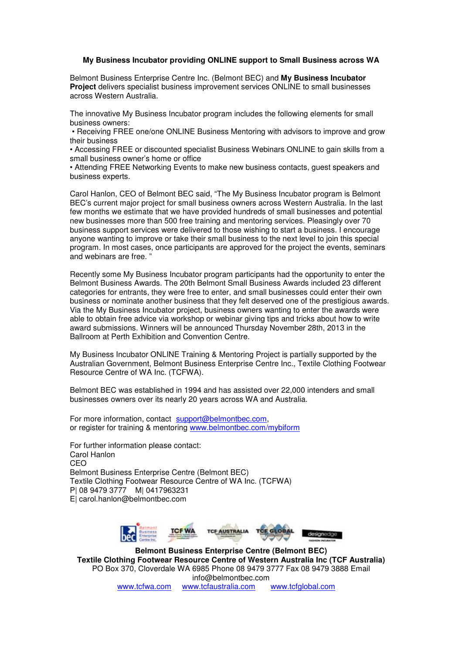## **My Business Incubator providing ONLINE support to Small Business across WA**

Belmont Business Enterprise Centre Inc. (Belmont BEC) and **My Business Incubator Project** delivers specialist business improvement services ONLINE to small businesses across Western Australia.

The innovative My Business Incubator program includes the following elements for small business owners:

 • Receiving FREE one/one ONLINE Business Mentoring with advisors to improve and grow their business

• Accessing FREE or discounted specialist Business Webinars ONLINE to gain skills from a small business owner's home or office

• Attending FREE Networking Events to make new business contacts, guest speakers and business experts.

Carol Hanlon, CEO of Belmont BEC said, "The My Business Incubator program is Belmont BEC's current major project for small business owners across Western Australia. In the last few months we estimate that we have provided hundreds of small businesses and potential new businesses more than 500 free training and mentoring services. Pleasingly over 70 business support services were delivered to those wishing to start a business. I encourage anyone wanting to improve or take their small business to the next level to join this special program. In most cases, once participants are approved for the project the events, seminars and webinars are free. "

Recently some My Business Incubator program participants had the opportunity to enter the Belmont Business Awards. The 20th Belmont Small Business Awards included 23 different categories for entrants, they were free to enter, and small businesses could enter their own business or nominate another business that they felt deserved one of the prestigious awards. Via the My Business Incubator project, business owners wanting to enter the awards were able to obtain free advice via workshop or webinar giving tips and tricks about how to write award submissions. Winners will be announced Thursday November 28th, 2013 in the Ballroom at Perth Exhibition and Convention Centre.

My Business Incubator ONLINE Training & Mentoring Project is partially supported by the Australian Government, Belmont Business Enterprise Centre Inc., Textile Clothing Footwear Resource Centre of WA Inc. (TCFWA).

Belmont BEC was established in 1994 and has assisted over 22,000 intenders and small businesses owners over its nearly 20 years across WA and Australia.

For more information, contact support@belmontbec.com, or register for training & mentoring www.belmontbec.com/mybiform

For further information please contact: Carol Hanlon CEO Belmont Business Enterprise Centre (Belmont BEC) Textile Clothing Footwear Resource Centre of WA Inc. (TCFWA) P| 08 9479 3777 M| 0417963231 E| carol.hanlon@belmontbec.com



**Belmont Business Enterprise Centre (Belmont BEC) Textile Clothing Footwear Resource Centre of Western Australia Inc (TCF Australia)** PO Box 370, Cloverdale WA 6985 Phone 08 9479 3777 Fax 08 9479 3888 Email info@belmontbec.com www.tcfwa.com www.tcfaustralia.com www.tcfglobal.com